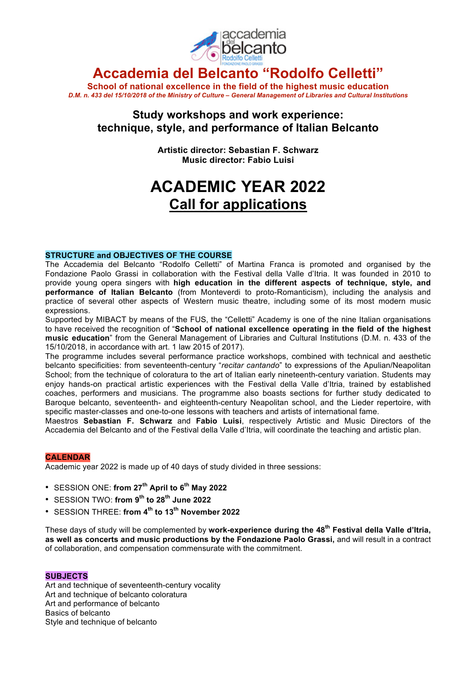

## **Accademia del Belcanto "Rodolfo Celletti"**

**School of national excellence in the field of the highest music education** D.M. n. 433 del 15/10/2018 of the Ministry of Culture - General Management of Libraries and Cultural Institutions

### **Study workshops and work experience: technique, style, and performance of Italian Belcanto**

**Artistic director: Sebastian F. Schwarz Music director: Fabio Luisi**

# **ACADEMIC YEAR 2022 Call for applications**

#### **STRUCTURE and OBJECTIVES OF THE COURSE**

The Accademia del Belcanto "Rodolfo Celletti" of Martina Franca is promoted and organised by the Fondazione Paolo Grassi in collaboration with the Festival della Valle d'Itria. It was founded in 2010 to provide young opera singers with **high education in the different aspects of technique, style, and performance of Italian Belcanto** (from Monteverdi to proto-Romanticism), including the analysis and practice of several other aspects of Western music theatre, including some of its most modern music expressions.

Supported by MIBACT by means of the FUS, the "Celletti" Academy is one of the nine Italian organisations to have received the recognition of "**School of national excellence operating in the field of the highest music education**" from the General Management of Libraries and Cultural Institutions (D.M. n. 433 of the 15/10/2018, in accordance with art. 1 law 2015 of 2017).

The programme includes several performance practice workshops, combined with technical and aesthetic belcanto specificities: from seventeenth-century "*recitar cantando*" to expressions of the Apulian/Neapolitan School; from the technique of coloratura to the art of Italian early nineteenth-century variation. Students may enjoy hands-on practical artistic experiences with the Festival della Valle d'Itria, trained by established coaches, performers and musicians. The programme also boasts sections for further study dedicated to Baroque belcanto, seventeenth- and eighteenth-century Neapolitan school, and the Lieder repertoire, with specific master-classes and one-to-one lessons with teachers and artists of international fame.

Maestros **Sebastian F. Schwarz** and **Fabio Luisi**, respectively Artistic and Music Directors of the Accademia del Belcanto and of the Festival della Valle d'Itria, will coordinate the teaching and artistic plan.

#### **CALENDAR**

Academic year 2022 is made up of 40 days of study divided in three sessions:

- SESSION ONE: **from 27th April to 6th May 2022**
- SESSION TWO: **from 9th to 28th June 2022**
- SESSION THREE: **from 4th to 13th November 2022**

These days of study will be complemented by **work-experience during the 48th Festival della Valle d'Itria, as well as concerts and music productions by the Fondazione Paolo Grassi,** and will result in a contract of collaboration, and compensation commensurate with the commitment.

#### **SUBJECTS**

Art and technique of seventeenth-century vocality Art and technique of belcanto coloratura Art and performance of belcanto Basics of belcanto Style and technique of belcanto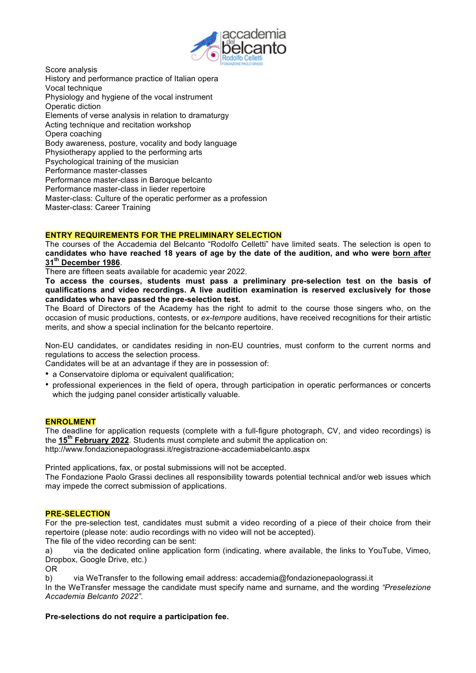

Score analysis History and performance practice of Italian opera Vocal technique Physiology and hygiene of the vocal instrument Operatic diction Elements of verse analysis in relation to dramaturgy Acting technique and recitation workshop Opera coaching Body awareness, posture, vocality and body language Physiotherapy applied to the performing arts Psychological training of the musician Performance master-classes Performance master-class in Baroque belcanto Performance master-class in lieder repertoire Master-class: Culture of the operatic performer as a profession Master-class: Career Training

#### **ENTRY REQUIREMENTS FOR THE PRELIMINARY SELECTION**

The courses of the Accademia del Belcanto "Rodolfo Celletti" have limited seats. The selection is open to candidates who have reached 18 years of age by the date of the audition, and who were born after **31th December 1986**.

There are fifteen seats available for academic year 2022.

**To access the courses, students must pass a preliminary pre-selection test on the basis of qualifications and video recordings. A live audition examination is reserved exclusively for those candidates who have passed the pre-selection test.**

The Board of Directors of the Academy has the right to admit to the course those singers who, on the occasion of music productions, contests, or *ex-tempore* auditions, have received recognitions for their artistic merits, and show a special inclination for the belcanto repertoire.

Non-EU candidates, or candidates residing in non-EU countries, must conform to the current norms and regulations to access the selection process.

Candidates will be at an advantage if they are in possession of:

• a Conservatoire diploma or equivalent qualification:

• professional experiences in the field of opera, through participation in operatic performances or concerts which the judging panel consider artistically valuable.

#### **ENROLMENT**

The deadline for application requests (complete with a full-figure photograph, CV, and video recordings) is the **15th February 2022**. Students must complete and submit the application on: http://www.fondazionepaolograssi.it/registrazione-accademiabelcanto.aspx

Printed applications, fax, or postal submissions will not be accepted.

The Fondazione Paolo Grassi declines all responsibility towards potential technical and/or web issues which may impede the correct submission of applications.

#### **PRE-SELECTION**

For the pre-selection test, candidates must submit a video recording of a piece of their choice from their repertoire (please note: audio recordings with no video will not be accepted).

The file of the video recording can be sent:

a) via the dedicated online application form (indicating, where available, the links to YouTube, Vimeo, Dropbox, Google Drive, etc.)

OR

b) via WeTransfer to the following email address: accademia@fondazionepaolograssi.it

In the WeTransfer message the candidate must specify name and surname, and the wording *"Preselezione Accademia Belcanto 2022".*

#### **Pre-selections do not require a participation fee.**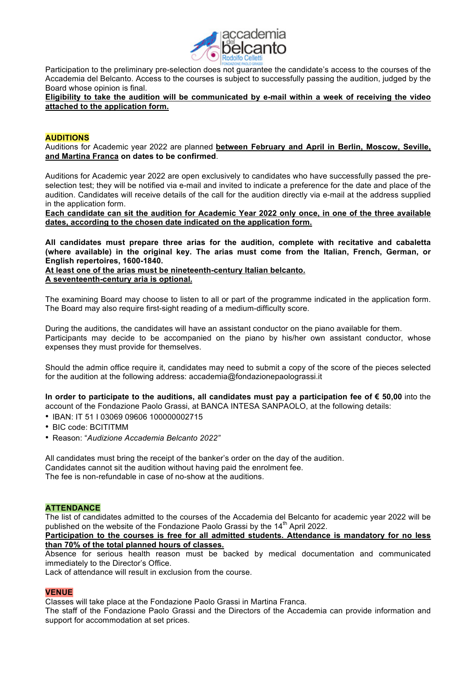

Participation to the preliminary pre-selection does not guarantee the candidate's access to the courses of the Accademia del Belcanto. Access to the courses is subject to successfully passing the audition, judged by the Board whose opinion is final.

**Eligibility to take the audition will be communicated by e-mail within a week of receiving the video attached to the application form.**

#### **AUDITIONS**

Auditions for Academic year 2022 are planned **between February and April in Berlin, Moscow, Seville, and Martina Franca on dates to be confirmed**.

Auditions for Academic year 2022 are open exclusively to candidates who have successfully passed the preselection test; they will be notified via e-mail and invited to indicate a preference for the date and place of the audition. Candidates will receive details of the call for the audition directly via e-mail at the address supplied in the application form.

Each candidate can sit the audition for Academic Year 2022 only once, in one of the three available **dates, according to the chosen date indicated on the application form.**

**All candidates must prepare three arias for the audition, complete with recitative and cabaletta (where available) in the original key. The arias must come from the Italian, French, German, or English repertoires, 1600-1840.**

**At least one of the arias must be nineteenth-century Italian belcanto. A seventeenth-century aria is optional.**

The examining Board may choose to listen to all or part of the programme indicated in the application form. The Board may also require first-sight reading of a medium-difficulty score.

During the auditions, the candidates will have an assistant conductor on the piano available for them. Participants may decide to be accompanied on the piano by his/her own assistant conductor, whose expenses they must provide for themselves.

Should the admin office require it, candidates may need to submit a copy of the score of the pieces selected for the audition at the following address: accademia@fondazionepaolograssi.it

**In order to participate to the auditions, all candidates must pay a participation fee of € 50,00** into the account of the Fondazione Paolo Grassi, at BANCA INTESA SANPAOLO, at the following details:

- IBAN: IT 51 I 03069 09606 100000002715
- BIC code: BCITITMM
- Reason: "*Audizione Accademia Belcanto 2022"*

All candidates must bring the receipt of the banker's order on the day of the audition. Candidates cannot sit the audition without having paid the enrolment fee. The fee is non-refundable in case of no-show at the auditions.

#### **ATTENDANCE**

The list of candidates admitted to the courses of the Accademia del Belcanto for academic year 2022 will be published on the website of the Fondazione Paolo Grassi by the  $14<sup>th</sup>$  April 2022.

**Participation to the courses is free for all admitted students. Attendance is mandatory for no less than 70% of the total planned hours of classes.**

Absence for serious health reason must be backed by medical documentation and communicated immediately to the Director's Office.

Lack of attendance will result in exclusion from the course.

#### **VENUE**

Classes will take place at the Fondazione Paolo Grassi in Martina Franca.

The staff of the Fondazione Paolo Grassi and the Directors of the Accademia can provide information and support for accommodation at set prices.